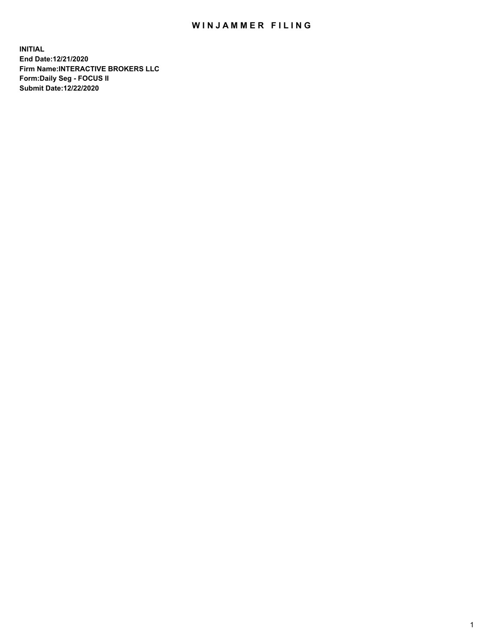## WIN JAMMER FILING

**INITIAL End Date:12/21/2020 Firm Name:INTERACTIVE BROKERS LLC Form:Daily Seg - FOCUS II Submit Date:12/22/2020**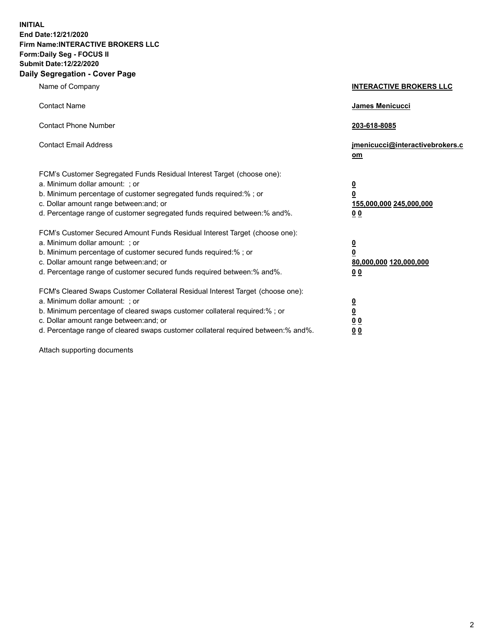**INITIAL End Date:12/21/2020 Firm Name:INTERACTIVE BROKERS LLC Form:Daily Seg - FOCUS II Submit Date:12/22/2020 Daily Segregation - Cover Page**

| Name of Company                                                                                                                                                                                                                                                                                                                | <b>INTERACTIVE BROKERS LLC</b>                                                  |  |
|--------------------------------------------------------------------------------------------------------------------------------------------------------------------------------------------------------------------------------------------------------------------------------------------------------------------------------|---------------------------------------------------------------------------------|--|
| <b>Contact Name</b>                                                                                                                                                                                                                                                                                                            | James Menicucci                                                                 |  |
| <b>Contact Phone Number</b>                                                                                                                                                                                                                                                                                                    | 203-618-8085                                                                    |  |
| <b>Contact Email Address</b>                                                                                                                                                                                                                                                                                                   | jmenicucci@interactivebrokers.c<br>om                                           |  |
| FCM's Customer Segregated Funds Residual Interest Target (choose one):<br>a. Minimum dollar amount: ; or<br>b. Minimum percentage of customer segregated funds required:%; or<br>c. Dollar amount range between: and; or<br>d. Percentage range of customer segregated funds required between:% and%.                          | <u>0</u><br>$\overline{\mathbf{0}}$<br>155,000,000 245,000,000<br><u>00</u>     |  |
| FCM's Customer Secured Amount Funds Residual Interest Target (choose one):<br>a. Minimum dollar amount: ; or<br>b. Minimum percentage of customer secured funds required:% ; or<br>c. Dollar amount range between: and; or<br>d. Percentage range of customer secured funds required between:% and%.                           | <u>0</u><br>$\overline{\mathbf{0}}$<br>80,000,000 120,000,000<br>0 <sub>0</sub> |  |
| FCM's Cleared Swaps Customer Collateral Residual Interest Target (choose one):<br>a. Minimum dollar amount: ; or<br>b. Minimum percentage of cleared swaps customer collateral required:% ; or<br>c. Dollar amount range between: and; or<br>d. Percentage range of cleared swaps customer collateral required between:% and%. | <u>0</u><br>$\underline{\mathbf{0}}$<br>0 <sub>0</sub><br>0 <sub>0</sub>        |  |

Attach supporting documents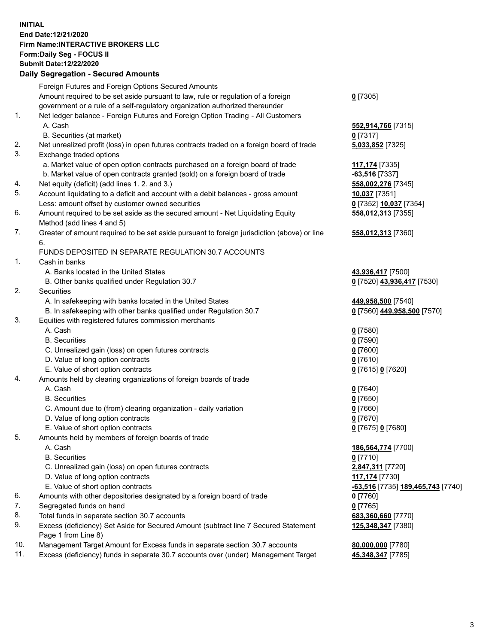**INITIAL End Date:12/21/2020 Firm Name:INTERACTIVE BROKERS LLC Form:Daily Seg - FOCUS II Submit Date:12/22/2020 Daily Segregation - Secured Amounts**

## Foreign Futures and Foreign Options Secured Amounts Amount required to be set aside pursuant to law, rule or regulation of a foreign government or a rule of a self-regulatory organization authorized thereunder **0** [7305] 1. Net ledger balance - Foreign Futures and Foreign Option Trading - All Customers A. Cash **552,914,766** [7315] B. Securities (at market) **0** [7317] 2. Net unrealized profit (loss) in open futures contracts traded on a foreign board of trade **5,033,852** [7325] 3. Exchange traded options a. Market value of open option contracts purchased on a foreign board of trade **117,174** [7335] b. Market value of open contracts granted (sold) on a foreign board of trade **-63,516** [7337] 4. Net equity (deficit) (add lines 1. 2. and 3.) **558,002,276** [7345] 5. Account liquidating to a deficit and account with a debit balances - gross amount **10,037** [7351] Less: amount offset by customer owned securities **0** [7352] **10,037** [7354] 6. Amount required to be set aside as the secured amount - Net Liquidating Equity Method (add lines 4 and 5) **558,012,313** [7355] 7. Greater of amount required to be set aside pursuant to foreign jurisdiction (above) or line 6. **558,012,313** [7360] FUNDS DEPOSITED IN SEPARATE REGULATION 30.7 ACCOUNTS 1. Cash in banks A. Banks located in the United States **43,936,417** [7500] B. Other banks qualified under Regulation 30.7 **0** [7520] **43,936,417** [7530] 2. Securities A. In safekeeping with banks located in the United States **449,958,500** [7540] B. In safekeeping with other banks qualified under Regulation 30.7 **0** [7560] **449,958,500** [7570] 3. Equities with registered futures commission merchants A. Cash **0** [7580] B. Securities **0** [7590] C. Unrealized gain (loss) on open futures contracts **0** [7600] D. Value of long option contracts **0** [7610] E. Value of short option contracts **0** [7615] **0** [7620] 4. Amounts held by clearing organizations of foreign boards of trade A. Cash **0** [7640] B. Securities **0** [7650] C. Amount due to (from) clearing organization - daily variation **0** [7660] D. Value of long option contracts **0** [7670] E. Value of short option contracts **0** [7675] **0** [7680] 5. Amounts held by members of foreign boards of trade A. Cash **186,564,774** [7700] B. Securities **0** [7710] C. Unrealized gain (loss) on open futures contracts **2,847,311** [7720] D. Value of long option contracts **117,174** [7730] E. Value of short option contracts **-63,516** [7735] **189,465,743** [7740] 6. Amounts with other depositories designated by a foreign board of trade **0** [7760] 7. Segregated funds on hand **0** [7765] 8. Total funds in separate section 30.7 accounts **683,360,660** [7770] 9. Excess (deficiency) Set Aside for Secured Amount (subtract line 7 Secured Statement Page 1 from Line 8) **125,348,347** [7380] 10. Management Target Amount for Excess funds in separate section 30.7 accounts **80,000,000** [7780] 11. Excess (deficiency) funds in separate 30.7 accounts over (under) Management Target **45,348,347** [7785]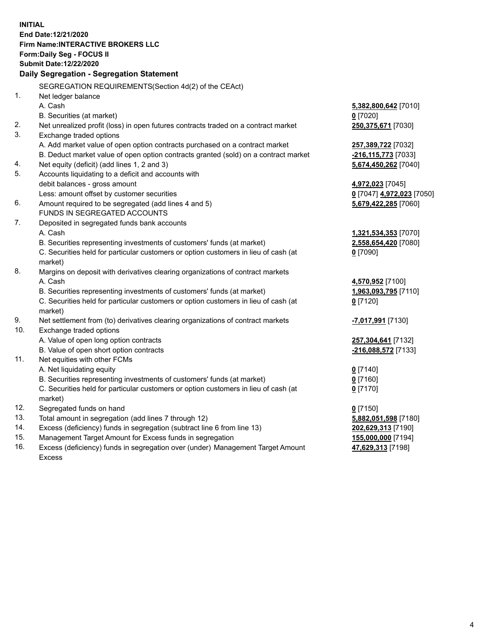**INITIAL End Date:12/21/2020 Firm Name:INTERACTIVE BROKERS LLC Form:Daily Seg - FOCUS II Submit Date:12/22/2020 Daily Segregation - Segregation Statement** SEGREGATION REQUIREMENTS(Section 4d(2) of the CEAct) 1. Net ledger balance A. Cash **5,382,800,642** [7010] B. Securities (at market) **0** [7020] 2. Net unrealized profit (loss) in open futures contracts traded on a contract market **250,375,671** [7030] 3. Exchange traded options A. Add market value of open option contracts purchased on a contract market **257,389,722** [7032] B. Deduct market value of open option contracts granted (sold) on a contract market **-216,115,773** [7033] 4. Net equity (deficit) (add lines 1, 2 and 3) **5,674,450,262** [7040] 5. Accounts liquidating to a deficit and accounts with debit balances - gross amount **4,972,023** [7045] Less: amount offset by customer securities **0** [7047] **4,972,023** [7050] 6. Amount required to be segregated (add lines 4 and 5) **5,679,422,285** [7060] FUNDS IN SEGREGATED ACCOUNTS 7. Deposited in segregated funds bank accounts A. Cash **1,321,534,353** [7070] B. Securities representing investments of customers' funds (at market) **2,558,654,420** [7080] C. Securities held for particular customers or option customers in lieu of cash (at market) **0** [7090] 8. Margins on deposit with derivatives clearing organizations of contract markets A. Cash **4,570,952** [7100] B. Securities representing investments of customers' funds (at market) **1,963,093,795** [7110] C. Securities held for particular customers or option customers in lieu of cash (at market) **0** [7120] 9. Net settlement from (to) derivatives clearing organizations of contract markets **-7,017,991** [7130] 10. Exchange traded options A. Value of open long option contracts **257,304,641** [7132] B. Value of open short option contracts **-216,088,572** [7133] 11. Net equities with other FCMs A. Net liquidating equity **0** [7140] B. Securities representing investments of customers' funds (at market) **0** [7160] C. Securities held for particular customers or option customers in lieu of cash (at market) **0** [7170] 12. Segregated funds on hand **0** [7150] 13. Total amount in segregation (add lines 7 through 12) **5,882,051,598** [7180] 14. Excess (deficiency) funds in segregation (subtract line 6 from line 13) **202,629,313** [7190] 15. Management Target Amount for Excess funds in segregation **155,000,000** [7194] 16. Excess (deficiency) funds in segregation over (under) Management Target Amount **47,629,313** [7198]

Excess